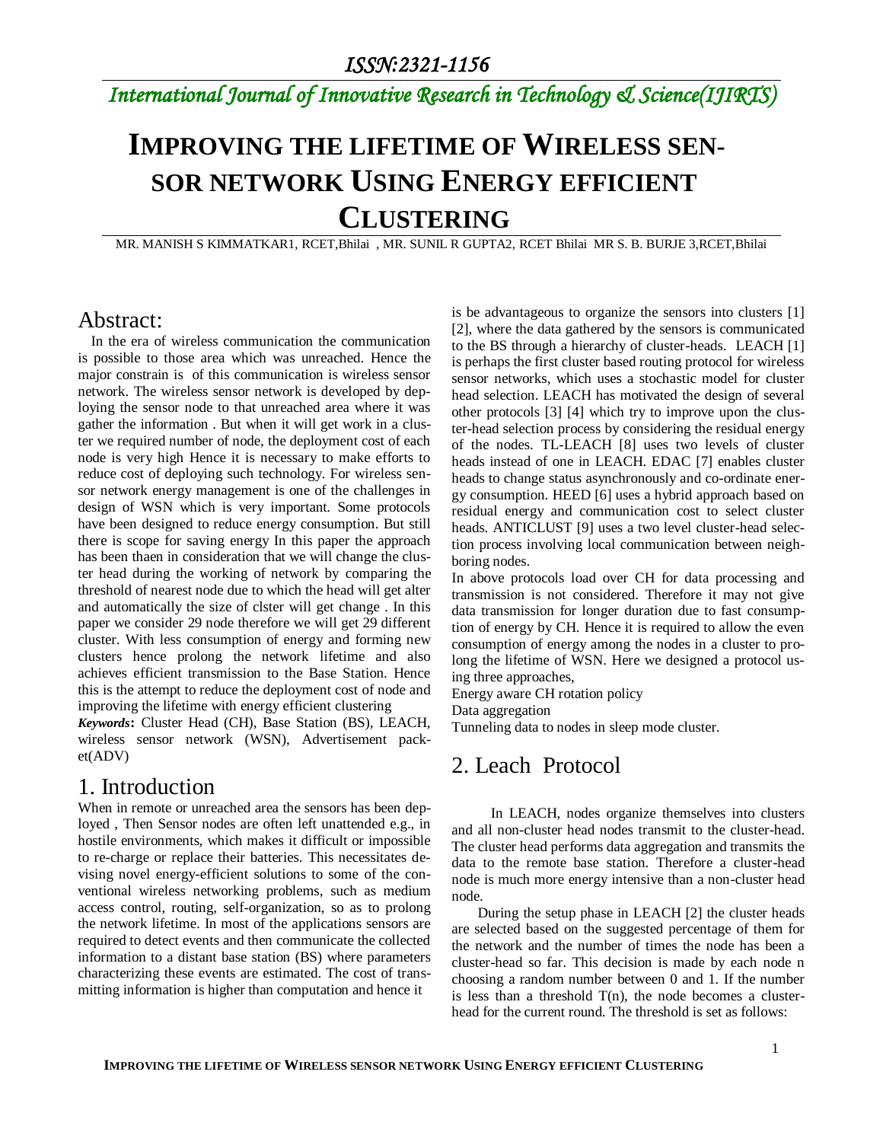# *International Journal of Innovative Research in Technology & Science(IJIRTS)*

# **IMPROVING THE LIFETIME OF WIRELESS SEN-SOR NETWORK USING ENERGY EFFICIENT CLUSTERING**

MR. MANISH S KIMMATKAR1, RCET,Bhilai , MR. SUNIL R GUPTA2, RCET Bhilai MR S. B. BURJE 3,RCET,Bhilai

## Abstract:

In the era of wireless communication the communication is possible to those area which was unreached. Hence the major constrain is of this communication is wireless sensor network. The wireless sensor network is developed by deploying the sensor node to that unreached area where it was gather the information . But when it will get work in a cluster we required number of node, the deployment cost of each node is very high Hence it is necessary to make efforts to reduce cost of deploying such technology. For wireless sensor network energy management is one of the challenges in design of WSN which is very important. Some protocols have been designed to reduce energy consumption. But still there is scope for saving energy In this paper the approach has been thaen in consideration that we will change the cluster head during the working of network by comparing the threshold of nearest node due to which the head will get alter and automatically the size of clster will get change . In this paper we consider 29 node therefore we will get 29 different cluster. With less consumption of energy and forming new clusters hence prolong the network lifetime and also achieves efficient transmission to the Base Station. Hence this is the attempt to reduce the deployment cost of node and improving the lifetime with energy efficient clustering

*Keywords***:** Cluster Head (CH), Base Station (BS), LEACH, wireless sensor network (WSN), Advertisement packet(ADV)

## 1. Introduction

When in remote or unreached area the sensors has been deployed , Then Sensor nodes are often left unattended e.g., in hostile environments, which makes it difficult or impossible to re-charge or replace their batteries. This necessitates devising novel energy-efficient solutions to some of the conventional wireless networking problems, such as medium access control, routing, self-organization, so as to prolong the network lifetime. In most of the applications sensors are required to detect events and then communicate the collected information to a distant base station (BS) where parameters characterizing these events are estimated. The cost of transmitting information is higher than computation and hence it

is be advantageous to organize the sensors into clusters [1] [2], where the data gathered by the sensors is communicated to the BS through a hierarchy of cluster-heads. LEACH [1] is perhaps the first cluster based routing protocol for wireless sensor networks, which uses a stochastic model for cluster head selection. LEACH has motivated the design of several other protocols [3] [4] which try to improve upon the cluster-head selection process by considering the residual energy of the nodes. TL-LEACH [8] uses two levels of cluster heads instead of one in LEACH. EDAC [7] enables cluster heads to change status asynchronously and co-ordinate energy consumption. HEED [6] uses a hybrid approach based on residual energy and communication cost to select cluster heads. ANTICLUST [9] uses a two level cluster-head selection process involving local communication between neighboring nodes.

In above protocols load over CH for data processing and transmission is not considered. Therefore it may not give data transmission for longer duration due to fast consumption of energy by CH. Hence it is required to allow the even consumption of energy among the nodes in a cluster to prolong the lifetime of WSN. Here we designed a protocol using three approaches,

Energy aware CH rotation policy Data aggregation

Tunneling data to nodes in sleep mode cluster.

# 2. Leach Protocol

In LEACH, nodes organize themselves into clusters and all non-cluster head nodes transmit to the cluster-head. The cluster head performs data aggregation and transmits the data to the remote base station. Therefore a cluster-head node is much more energy intensive than a non-cluster head node.

During the setup phase in LEACH [2] the cluster heads are selected based on the suggested percentage of them for the network and the number of times the node has been a cluster-head so far. This decision is made by each node n choosing a random number between 0 and 1. If the number is less than a threshold  $T(n)$ , the node becomes a clusterhead for the current round. The threshold is set as follows: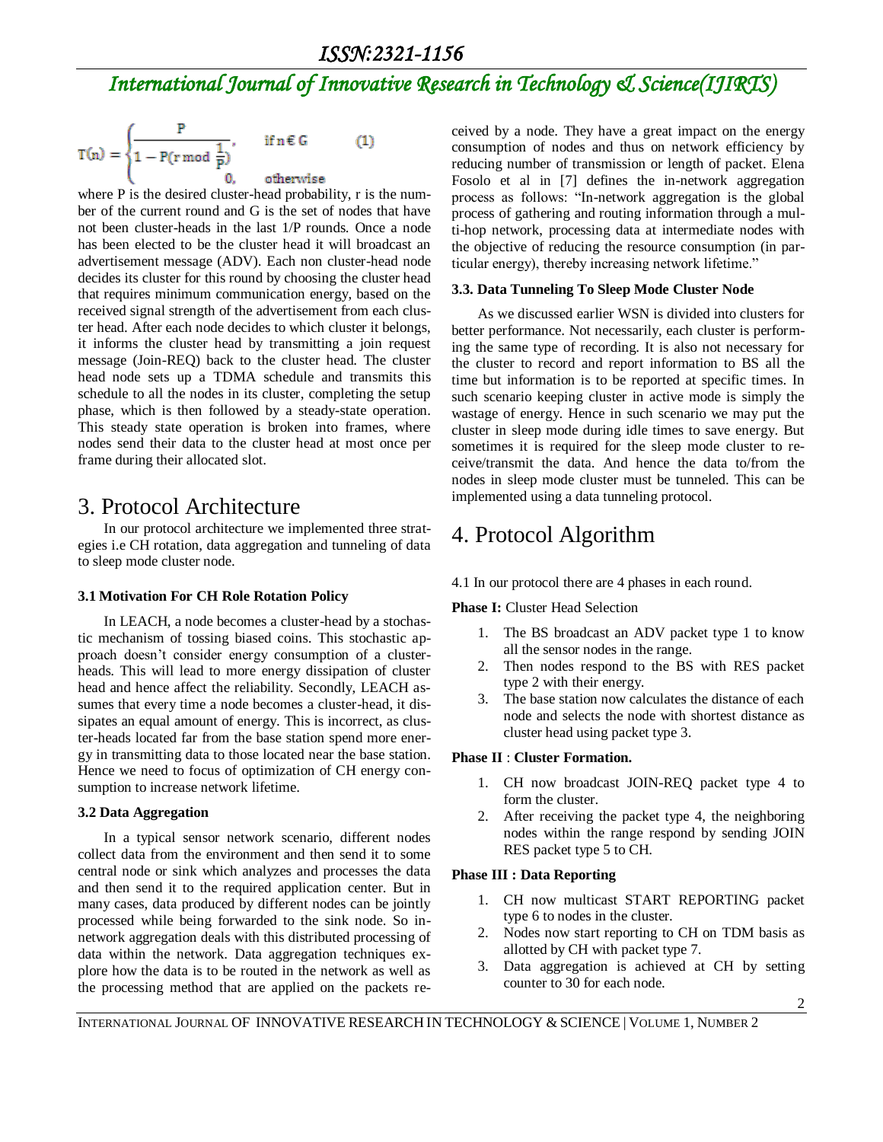$$
T(n) = \begin{cases} \frac{P}{1 - P(r \bmod \frac{1}{P})}, & \text{if } n \in G \\ 0, & \text{otherwise} \end{cases}
$$
 (1)

where P is the desired cluster-head probability, r is the number of the current round and G is the set of nodes that have not been cluster-heads in the last 1/P rounds. Once a node has been elected to be the cluster head it will broadcast an advertisement message (ADV). Each non cluster-head node decides its cluster for this round by choosing the cluster head that requires minimum communication energy, based on the received signal strength of the advertisement from each cluster head. After each node decides to which cluster it belongs, it informs the cluster head by transmitting a join request message (Join-REQ) back to the cluster head. The cluster head node sets up a TDMA schedule and transmits this schedule to all the nodes in its cluster, completing the setup phase, which is then followed by a steady-state operation. This steady state operation is broken into frames, where nodes send their data to the cluster head at most once per frame during their allocated slot.

# 3. Protocol Architecture

In our protocol architecture we implemented three strategies i.e CH rotation, data aggregation and tunneling of data to sleep mode cluster node.

### **3.1 Motivation For CH Role Rotation Policy**

In LEACH, a node becomes a cluster-head by a stochastic mechanism of tossing biased coins. This stochastic approach doesn't consider energy consumption of a clusterheads. This will lead to more energy dissipation of cluster head and hence affect the reliability. Secondly, LEACH assumes that every time a node becomes a cluster-head, it dissipates an equal amount of energy. This is incorrect, as cluster-heads located far from the base station spend more energy in transmitting data to those located near the base station. Hence we need to focus of optimization of CH energy consumption to increase network lifetime.

### **3.2 Data Aggregation**

In a typical sensor network scenario, different nodes collect data from the environment and then send it to some central node or sink which analyzes and processes the data and then send it to the required application center. But in many cases, data produced by different nodes can be jointly processed while being forwarded to the sink node. So innetwork aggregation deals with this distributed processing of data within the network. Data aggregation techniques explore how the data is to be routed in the network as well as the processing method that are applied on the packets received by a node. They have a great impact on the energy consumption of nodes and thus on network efficiency by reducing number of transmission or length of packet. Elena Fosolo et al in [7] defines the in-network aggregation process as follows: "In-network aggregation is the global process of gathering and routing information through a multi-hop network, processing data at intermediate nodes with the objective of reducing the resource consumption (in particular energy), thereby increasing network lifetime."

### **3.3. Data Tunneling To Sleep Mode Cluster Node**

As we discussed earlier WSN is divided into clusters for better performance. Not necessarily, each cluster is performing the same type of recording. It is also not necessary for the cluster to record and report information to BS all the time but information is to be reported at specific times. In such scenario keeping cluster in active mode is simply the wastage of energy. Hence in such scenario we may put the cluster in sleep mode during idle times to save energy. But sometimes it is required for the sleep mode cluster to receive/transmit the data. And hence the data to/from the nodes in sleep mode cluster must be tunneled. This can be implemented using a data tunneling protocol.

# 4. Protocol Algorithm

4.1 In our protocol there are 4 phases in each round.

**Phase I:** Cluster Head Selection

- 1. The BS broadcast an ADV packet type 1 to know all the sensor nodes in the range.
- 2. Then nodes respond to the BS with RES packet type 2 with their energy.
- 3. The base station now calculates the distance of each node and selects the node with shortest distance as cluster head using packet type 3.

### **Phase II** : **Cluster Formation.**

- 1. CH now broadcast JOIN-REQ packet type 4 to form the cluster.
- 2. After receiving the packet type 4, the neighboring nodes within the range respond by sending JOIN RES packet type 5 to CH.

### **Phase III : Data Reporting**

- 1. CH now multicast START REPORTING packet type 6 to nodes in the cluster.
- 2. Nodes now start reporting to CH on TDM basis as allotted by CH with packet type 7.
- 3. Data aggregation is achieved at CH by setting counter to 30 for each node.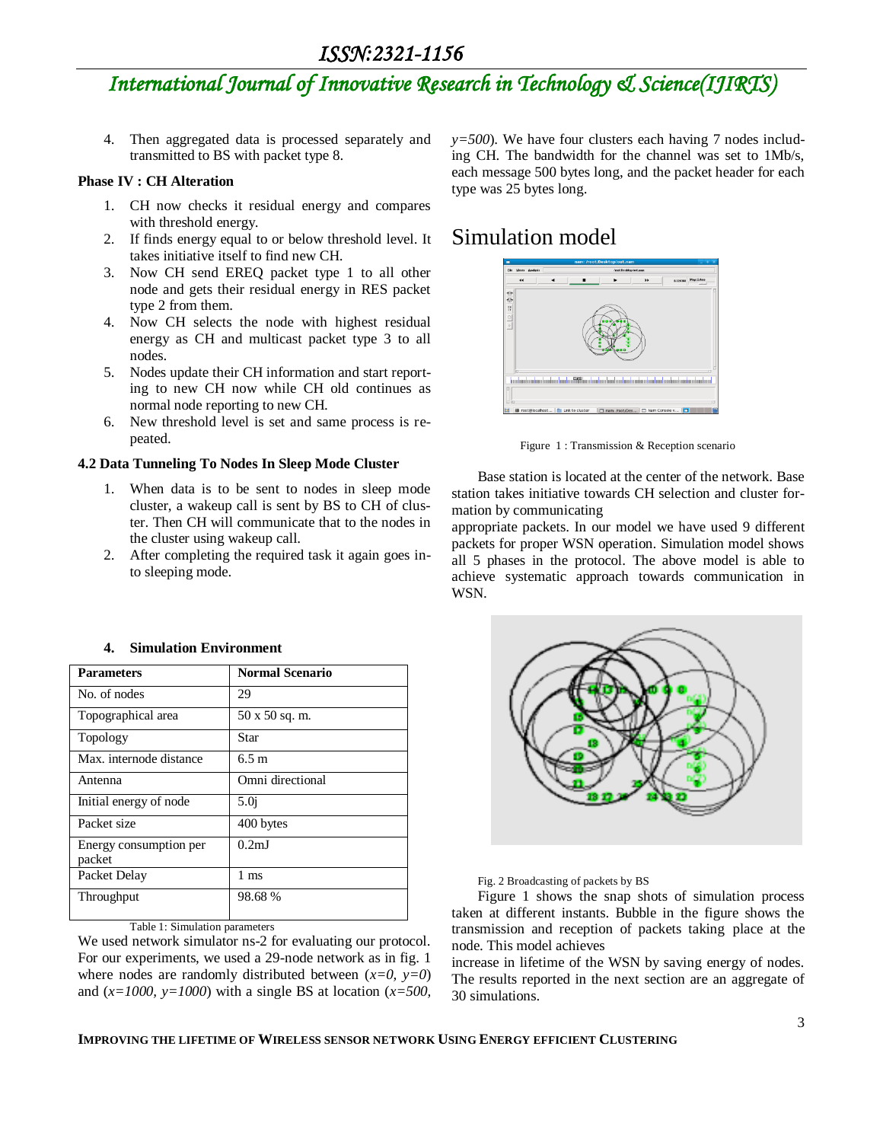# *ISSN:2321-1156 International Journal of Innovative Research in Technology & Science(IJIRTS)*

4. Then aggregated data is processed separately and transmitted to BS with packet type 8.

#### **Phase IV : CH Alteration**

- 1. CH now checks it residual energy and compares with threshold energy.
- 2. If finds energy equal to or below threshold level. It takes initiative itself to find new CH.
- 3. Now CH send EREQ packet type 1 to all other node and gets their residual energy in RES packet type 2 from them.
- 4. Now CH selects the node with highest residual energy as CH and multicast packet type 3 to all nodes.
- 5. Nodes update their CH information and start reporting to new CH now while CH old continues as normal node reporting to new CH.
- 6. New threshold level is set and same process is repeated.

#### **4.2 Data Tunneling To Nodes In Sleep Mode Cluster**

- 1. When data is to be sent to nodes in sleep mode cluster, a wakeup call is sent by BS to CH of cluster. Then CH will communicate that to the nodes in the cluster using wakeup call.
- 2. After completing the required task it again goes into sleeping mode.

| <b>Parameters</b>                | <b>Normal Scenario</b> |  |
|----------------------------------|------------------------|--|
| No. of nodes                     | 29                     |  |
| Topographical area               | 50 x 50 sq. m.         |  |
| Topology                         | Star                   |  |
| Max. internode distance          | 6.5 m                  |  |
| Antenna                          | Omni directional       |  |
| Initial energy of node           | 5.0 <sub>i</sub>       |  |
| Packet size                      | 400 bytes              |  |
| Energy consumption per<br>packet | 0.2 <sub>m</sub>       |  |
| Packet Delay                     | $1 \text{ ms}$         |  |
| Throughput                       | 98.68%                 |  |

#### **4. Simulation Environment**

Table 1: Simulation parameters

We used network simulator ns-2 for evaluating our protocol. For our experiments, we used a 29-node network as in fig. 1 where nodes are randomly distributed between  $(x=0, y=0)$ and (*x=1000, y=1000*) with a single BS at location (*x=500,* 

*y=500*). We have four clusters each having 7 nodes including CH. The bandwidth for the channel was set to 1Mb/s, each message 500 bytes long, and the packet header for each type was 25 bytes long.

## Simulation model



Figure 1 : Transmission & Reception scenario

Base station is located at the center of the network. Base station takes initiative towards CH selection and cluster formation by communicating

appropriate packets. In our model we have used 9 different packets for proper WSN operation. Simulation model shows all 5 phases in the protocol. The above model is able to achieve systematic approach towards communication in WSN.



Fig. 2 Broadcasting of packets by BS

Figure 1 shows the snap shots of simulation process taken at different instants. Bubble in the figure shows the transmission and reception of packets taking place at the node. This model achieves

increase in lifetime of the WSN by saving energy of nodes. The results reported in the next section are an aggregate of 30 simulations.

#### **IMPROVING THE LIFETIME OF WIRELESS SENSOR NETWORK USING ENERGY EFFICIENT CLUSTERING**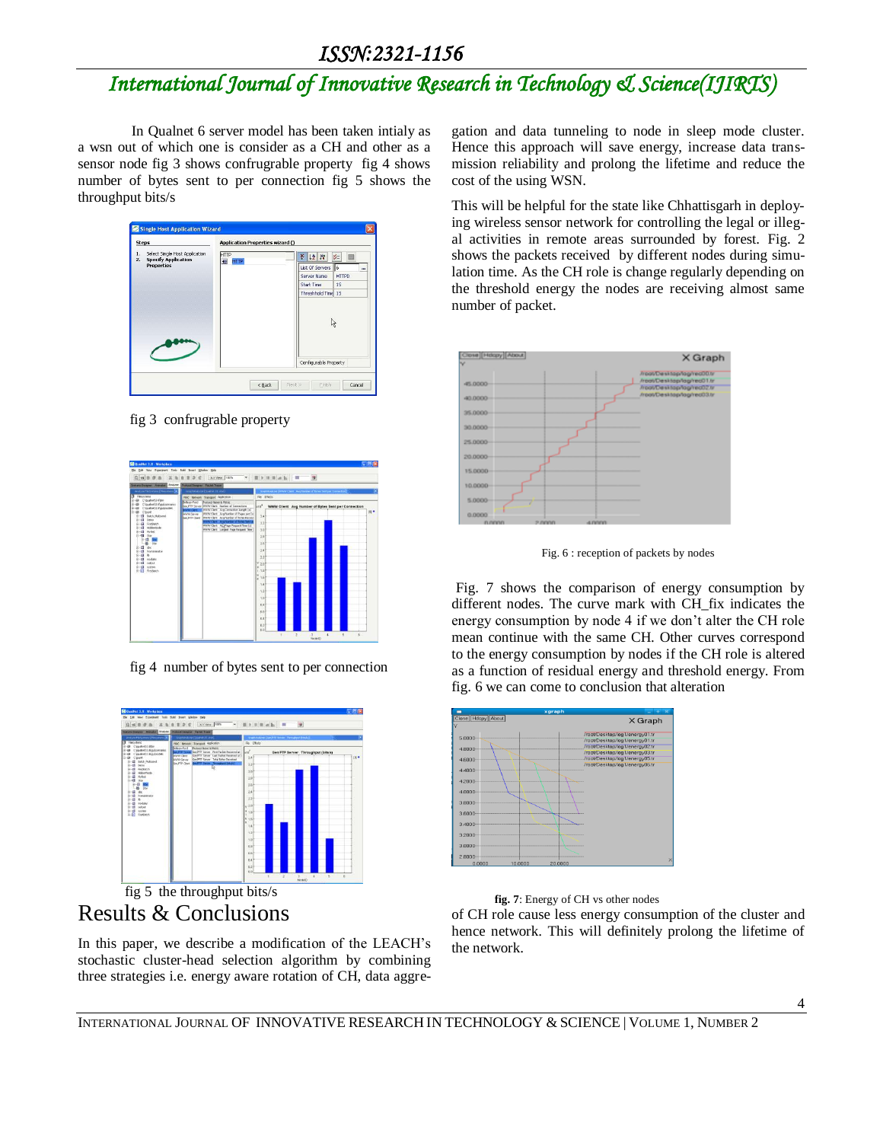# *ISSN:2321-1156*

# *International Journal of Innovative Research in Technology & Science(IJIRTS)*

 In Qualnet 6 server model has been taken intialy as a wsn out of which one is consider as a CH and other as a sensor node fig 3 shows confrugrable property fig 4 shows number of bytes sent to per connection fig 5 shows the throughput bits/s



fig 3 confrugrable property



fig 4 number of bytes sent to per connection



 fig 5 the throughput bits/s Results & Conclusions

In this paper, we describe a modification of the LEACH's stochastic cluster-head selection algorithm by combining three strategies i.e. energy aware rotation of CH, data aggregation and data tunneling to node in sleep mode cluster. Hence this approach will save energy, increase data transmission reliability and prolong the lifetime and reduce the cost of the using WSN.

This will be helpful for the state like Chhattisgarh in deploying wireless sensor network for controlling the legal or illegal activities in remote areas surrounded by forest. Fig. 2 shows the packets received by different nodes during simulation time. As the CH role is change regularly depending on the threshold energy the nodes are receiving almost same number of packet.



Fig. 6 : reception of packets by nodes

Fig. 7 shows the comparison of energy consumption by different nodes. The curve mark with CH\_fix indicates the energy consumption by node 4 if we don't alter the CH role mean continue with the same CH. Other curves correspond to the energy consumption by nodes if the CH role is altered as a function of residual energy and threshold energy. From fig. 6 we can come to conclusion that alteration

|                   |         | xgraph  | $\sim$                                                           |
|-------------------|---------|---------|------------------------------------------------------------------|
| Close Hdcpy About |         |         | X Graph                                                          |
|                   |         |         |                                                                  |
| 5.0000            |         |         | /root/Desktop/log1/energy01.tr                                   |
|                   |         |         | /root/Desktop/log1/energy01.tr<br>/root/Desktop/log1/energy02.tr |
| 4,8000            |         |         | /root/Desktop/log1/energy03.tr                                   |
| 4.6000            |         |         | /root/Desktop/log1/energy05.tr                                   |
| 4.4000            |         |         | /root/Desktop/log1/energy06.tr                                   |
|                   |         |         |                                                                  |
| 4,2000            |         |         |                                                                  |
| 4,0000            |         |         |                                                                  |
|                   |         |         |                                                                  |
| 3,8000            |         |         |                                                                  |
| 3,6000            |         |         |                                                                  |
| 3,4000            |         |         |                                                                  |
|                   |         |         |                                                                  |
| 3.2000            |         |         |                                                                  |
| 3,0000            |         |         |                                                                  |
|                   |         |         |                                                                  |
| 2,8000<br>0.0000  | 10,0000 | 20,0000 |                                                                  |
|                   |         |         |                                                                  |

 **fig. 7**: Energy of CH vs other nodes

of CH role cause less energy consumption of the cluster and hence network. This will definitely prolong the lifetime of the network.